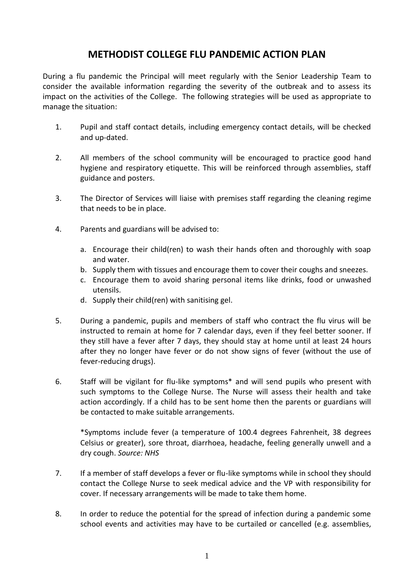## **METHODIST COLLEGE FLU PANDEMIC ACTION PLAN**

During a flu pandemic the Principal will meet regularly with the Senior Leadership Team to consider the available information regarding the severity of the outbreak and to assess its impact on the activities of the College. The following strategies will be used as appropriate to manage the situation:

- 1. Pupil and staff contact details, including emergency contact details, will be checked and up-dated.
- 2. All members of the school community will be encouraged to practice good hand hygiene and respiratory etiquette. This will be reinforced through assemblies, staff guidance and posters.
- 3. The Director of Services will liaise with premises staff regarding the cleaning regime that needs to be in place.
- 4. Parents and guardians will be advised to:
	- a. Encourage their child(ren) to wash their hands often and thoroughly with soap and water.
	- b. Supply them with tissues and encourage them to cover their coughs and sneezes.
	- c. Encourage them to avoid sharing personal items like drinks, food or unwashed utensils.
	- d. Supply their child(ren) with sanitising gel.
- 5. During a pandemic, pupils and members of staff who contract the flu virus will be instructed to remain at home for 7 calendar days, even if they feel better sooner. If they still have a fever after 7 days, they should stay at home until at least 24 hours after they no longer have fever or do not show signs of fever (without the use of fever-reducing drugs).
- 6. Staff will be vigilant for flu-like symptoms\* and will send pupils who present with such symptoms to the College Nurse. The Nurse will assess their health and take action accordingly. If a child has to be sent home then the parents or guardians will be contacted to make suitable arrangements.

\*Symptoms include fever (a temperature of 100.4 degrees Fahrenheit, 38 degrees Celsius or greater), sore throat, diarrhoea, headache, feeling generally unwell and a dry cough. *Source: NHS*

- 7. If a member of staff develops a fever or flu-like symptoms while in school they should contact the College Nurse to seek medical advice and the VP with responsibility for cover. If necessary arrangements will be made to take them home.
- 8. In order to reduce the potential for the spread of infection during a pandemic some school events and activities may have to be curtailed or cancelled (e.g. assemblies,